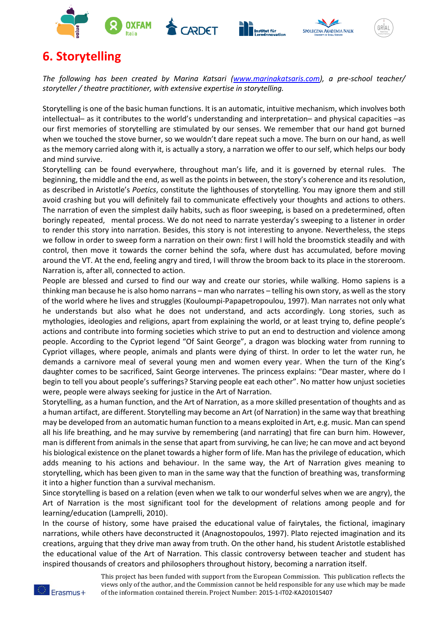







## **6. Storytelling**

*The following has been created by Marina Katsari [\(www.marinakatsaris.com\)](http://www.marinakatsaris.com/), a pre-school teacher/ storyteller / theatre practitioner, with extensive expertise in storytelling.*

Storytelling is one of the basic human functions. It is an automatic, intuitive mechanism, which involves both intellectual– as it contributes to the world's understanding and interpretation– and physical capacities –as our first memories of storytelling are stimulated by our senses. We remember that our hand got burned when we touched the stove burner, so we wouldn't dare repeat such a move. The burn on our hand, as well as the memory carried along with it, is actually a story, a narration we offer to our self, which helps our body and mind survive.

Storytelling can be found everywhere, throughout man's life, and it is governed by eternal rules. The beginning, the middle and the end, as well as the points in between, the story's coherence and its resolution, as described in Aristotle's *Poetics*, constitute the lighthouses of storytelling. You may ignore them and still avoid crashing but you will definitely fail to communicate effectively your thoughts and actions to others. The narration of even the simplest daily habits, such as floor sweeping, is based on a predetermined, often boringly repeated, mental process. We do not need to narrate yesterday's sweeping to a listener in order to render this story into narration. Besides, this story is not interesting to anyone. Nevertheless, the steps we follow in order to sweep form a narration on their own: first I will hold the broomstick steadily and with control, then move it towards the corner behind the sofa, where dust has accumulated, before moving around the VT. At the end, feeling angry and tired, I will throw the broom back to its place in the storeroom. Narration is, after all, connected to action.

People are blessed and cursed to find our way and create our stories, while walking. Homo sapiens is a thinking man because he is also homo narrans – man who narrates – telling his own story, as well as the story of the world where he lives and struggles (Kouloumpi-Papapetropoulou, 1997). Man narrates not only what he understands but also what he does not understand, and acts accordingly. Long stories, such as mythologies, ideologies and religions, apart from explaining the world, or at least trying to, define people's actions and contribute into forming societies which strive to put an end to destruction and violence among people. According to the Cypriot legend "Of Saint George", a dragon was blocking water from running to Cypriot villages, where people, animals and plants were dying of thirst. In order to let the water run, he demands a carnivore meal of several young men and women every year. When the turn of the King's daughter comes to be sacrificed, Saint George intervenes. The princess explains: "Dear master, where do I begin to tell you about people's sufferings? Starving people eat each other". No matter how unjust societies were, people were always seeking for justice in the Art of Narration.

Storytelling, as a human function, and the Art of Narration, as a more skilled presentation of thoughts and as a human artifact, are different. Storytelling may become an Art (of Narration) in the same way that breathing may be developed from an automatic human function to a means exploited in Art, e.g. music. Man can spend all his life breathing, and he may survive by remembering (and narrating) that fire can burn him. However, man is different from animals in the sense that apart from surviving, he can live; he can move and act beyond his biological existence on the planet towards a higher form of life. Man has the privilege of education, which adds meaning to his actions and behaviour. In the same way, the Art of Narration gives meaning to storytelling, which has been given to man in the same way that the function of breathing was, transforming it into a higher function than a survival mechanism.

Since storytelling is based on a relation (even when we talk to our wonderful selves when we are angry), the Art of Narration is the most significant tool for the development of relations among people and for learning/education (Lamprelli, 2010).

In the course of history, some have praised the educational value of fairytales, the fictional, imaginary narrations, while others have deconstructed it (Anagnostopoulos, 1997). Plato rejected imagination and its creations, arguing that they drive man away from truth. On the other hand, his student Aristotle established the educational value of the Art of Narration. This classic controversy between teacher and student has inspired thousands of creators and philosophers throughout history, becoming a narration itself.

> This project has been funded with support from the European Commission. This publication reflects the views only of the author, and the Commission cannot be held responsible for any use which may be made of the information contained therein. Project Number: 2015-1-IT02-KA201015407